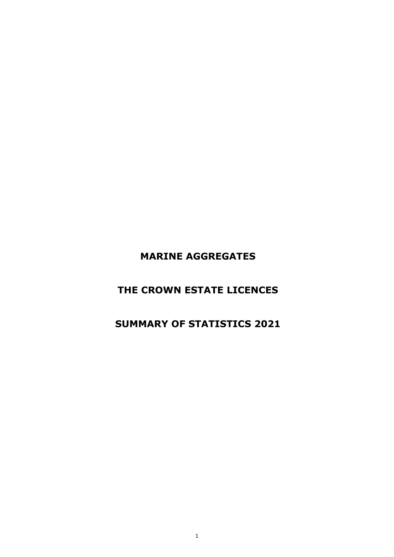**MARINE AGGREGATES**

### **THE CROWN ESTATE LICENCES**

### **SUMMARY OF STATISTICS 2021**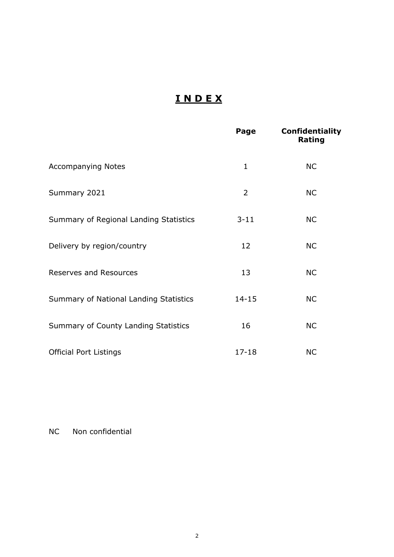### **I N D E X**

|                                        | Page           | <b>Confidentiality</b><br>Rating |
|----------------------------------------|----------------|----------------------------------|
| <b>Accompanying Notes</b>              | $\mathbf{1}$   | <b>NC</b>                        |
| Summary 2021                           | $\overline{2}$ | <b>NC</b>                        |
| Summary of Regional Landing Statistics | $3 - 11$       | <b>NC</b>                        |
| Delivery by region/country             | 12             | <b>NC</b>                        |
| <b>Reserves and Resources</b>          | 13             | <b>NC</b>                        |
| Summary of National Landing Statistics | $14 - 15$      | <b>NC</b>                        |
| Summary of County Landing Statistics   | 16             | <b>NC</b>                        |
| <b>Official Port Listings</b>          | $17 - 18$      | <b>NC</b>                        |

NC Non confidential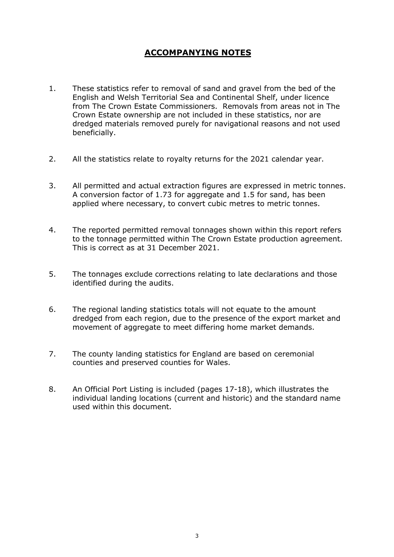### **ACCOMPANYING NOTES**

- 1. These statistics refer to removal of sand and gravel from the bed of the English and Welsh Territorial Sea and Continental Shelf, under licence from The Crown Estate Commissioners. Removals from areas not in The Crown Estate ownership are not included in these statistics, nor are dredged materials removed purely for navigational reasons and not used beneficially.
- 2. All the statistics relate to royalty returns for the 2021 calendar year.
- 3. All permitted and actual extraction figures are expressed in metric tonnes. A conversion factor of 1.73 for aggregate and 1.5 for sand, has been applied where necessary, to convert cubic metres to metric tonnes.
- 4. The reported permitted removal tonnages shown within this report refers to the tonnage permitted within The Crown Estate production agreement. This is correct as at 31 December 2021.
- 5. The tonnages exclude corrections relating to late declarations and those identified during the audits.
- 6. The regional landing statistics totals will not equate to the amount dredged from each region, due to the presence of the export market and movement of aggregate to meet differing home market demands.
- 7. The county landing statistics for England are based on ceremonial counties and preserved counties for Wales.
- 8. An Official Port Listing is included (pages 17-18), which illustrates the individual landing locations (current and historic) and the standard name used within this document.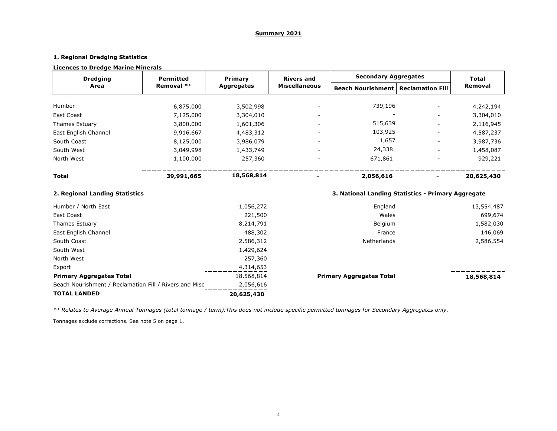#### **Summary 2021**

### **1. Regional Dredging Statistics**

#### **Licences to Dredge Marine Minerals**

Tonnages exclude corrections. See note 5 on page 1. *\*¹ Relates to Average Annual Tonnages (total tonnage / term).This does not include specific permitted tonnages for Secondary Aggregates only.*

| <b>Dredging</b>                                        | <b>Permitted</b> | <b>Primary</b>    |                      | <b>Secondary Aggregates</b>                        |  | <b>Total</b> |
|--------------------------------------------------------|------------------|-------------------|----------------------|----------------------------------------------------|--|--------------|
| <b>Area</b>                                            | Removal *1       | <b>Aggregates</b> | <b>Miscellaneous</b> | <b>Beach Nourishment   Reclamation Fill</b>        |  | Removal      |
|                                                        |                  |                   |                      |                                                    |  |              |
| Humber                                                 | 6,875,000        | 3,502,998         |                      | 739,196                                            |  | 4,242,194    |
| <b>East Coast</b>                                      | 7,125,000        | 3,304,010         |                      |                                                    |  | 3,304,010    |
| <b>Thames Estuary</b>                                  | 3,800,000        | 1,601,306         |                      | 515,639                                            |  | 2,116,945    |
| East English Channel                                   | 9,916,667        | 4,483,312         |                      | 103,925                                            |  | 4,587,237    |
| South Coast                                            | 8,125,000        | 3,986,079         |                      | 1,657                                              |  | 3,987,736    |
| South West                                             | 3,049,998        | 1,433,749         |                      | 24,338                                             |  | 1,458,087    |
| North West                                             | 1,100,000        | 257,360           |                      | 671,861                                            |  | 929,221      |
| <b>Total</b>                                           | 39,991,665       | 18,568,814        |                      | 2,056,616                                          |  | 20,625,430   |
| 2. Regional Landing Statistics                         |                  |                   |                      | 3. National Landing Statistics - Primary Aggregate |  |              |
| Humber / North East                                    |                  | 1,056,272         |                      | England                                            |  | 13,554,487   |
| <b>East Coast</b>                                      |                  | 221,500           |                      | Wales                                              |  | 699,674      |
| Thames Estuary                                         |                  | 8,214,791         |                      | Belgium                                            |  | 1,582,030    |
| East English Channel                                   |                  | 488,302           |                      | France                                             |  | 146,069      |
| South Coast                                            |                  | 2,586,312         |                      | Netherlands                                        |  | 2,586,554    |
| South West                                             |                  | 1,429,624         |                      |                                                    |  |              |
| North West                                             |                  | 257,360           |                      |                                                    |  |              |
| Export                                                 |                  | 4,314,653         |                      |                                                    |  |              |
| <b>Primary Aggregates Total</b>                        |                  | 18,568,814        |                      | <b>Primary Aggregates Total</b>                    |  | 18,568,814   |
| Beach Nourishment / Reclamation Fill / Rivers and Misc |                  | 2,056,616         |                      |                                                    |  |              |
| <b>TOTAL LANDED</b>                                    |                  | 20,625,430        |                      |                                                    |  |              |

| <b>Total</b>   |  |
|----------------|--|
| <b>Removal</b> |  |

### ----

### **2. <b>Region** Exercise

### $\overline{\phantom{a}}$

4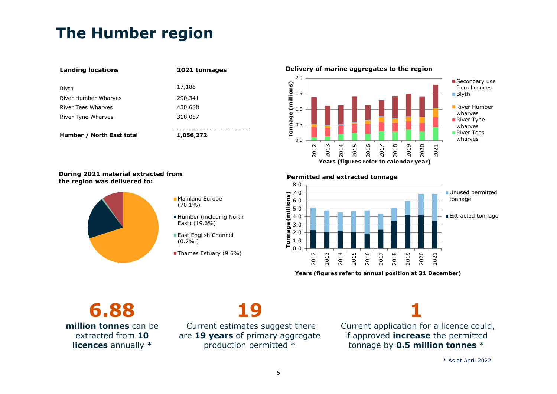# **The Humber region**

| <b>Landing locations</b>  | 2021 tonnages |
|---------------------------|---------------|
| Blyth                     | 17,186        |
| River Humber Wharves      | 290,341       |
| River Tees Wharves        | 430,688       |
| River Tyne Wharves        | 318,057       |
|                           |               |
| Humber / North East total | 1,056,272     |

**Delivery of marine aggregates to the region** 



Secondary use from licences ■**Blyth** 

River Humber wharves **River Tyne** wharves **River Tees** wharves

#### **During 2021 material extracted from the region was delivered to:**



- **Mainland Europe** (70.1%)
- Humber (including North East) (19.6%)
- **East English Channel** (0.7% )
- Thames Estuary (9.6%)

#### **Permitted and extracted tonnage**



**Years (figures refer to annual position at 31 December)**

**6.88 million tonnes** can be extracted from **10 licences** annually \*



Current estimates suggest there are **19 years** of primary aggregate production permitted \*

**1** Current application for a licence could, if approved **increase** the permitted tonnage by **0.5 million tonnes** \*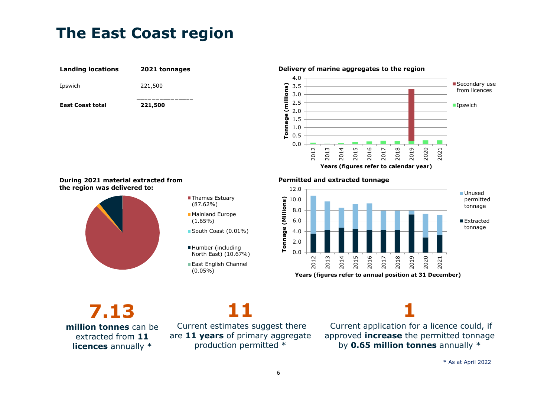## **The East Coast region**





#### **Delivery of marine aggregates to the region**

#### **During 2021 material extracted from the region was delivered to:**



- **Thames Estuary** (87.62%)
- **Mainland Europe** (1.65%)
- South Coast (0.01%)
- Humber (including North East) (10.67%)
- **East English Channel** (0.05%)

#### **Permitted and extracted tonnage**



**7.13 million tonnes** can be extracted from **11 licences** annually \*



Current estimates suggest there are **11 years** of primary aggregate production permitted \*

**1**

Current application for a licence could, if approved **increase** the permitted tonnage by **0.65 million tonnes** annually \*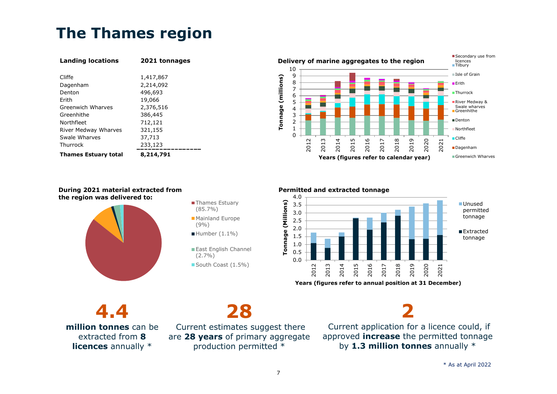# **The Thames region**

| <b>Landing locations</b>    | 2021 tonnages |  |  |
|-----------------------------|---------------|--|--|
|                             |               |  |  |
| Cliffe                      | 1,417,867     |  |  |
| Dagenham                    | 2,214,092     |  |  |
| Denton                      | 496,693       |  |  |
| Frith                       | 19,066        |  |  |
| Greenwich Wharves           | 2,376,516     |  |  |
| Greenhithe                  | 386,445       |  |  |
| Northfleet                  | 712,121       |  |  |
| River Medway Wharves        | 321,155       |  |  |
| Swale Wharves               | 37,713        |  |  |
| Thurrock                    | 233,123       |  |  |
| <b>Thames Estuary total</b> | 8,214,791     |  |  |



### **During 2021 material extracted from the region was delivered to:** Thames Estuary



# (85.7%)

- **Mainland Europe** (9%)
- $\blacksquare$  Humber (1.1%)
- East English Channel (2.7%)
- South Coast (1.5%)

#### **Permitted and extracted tonnage**



**Years (figures refer to annual position at 31 December)**

**4.4 million tonnes** can be extracted from **8 licences** annually \*

**28**

Current estimates suggest there are **28 years** of primary aggregate production permitted \*

**2**

Current application for a licence could, if approved **increase** the permitted tonnage by **1.3 million tonnes** annually \*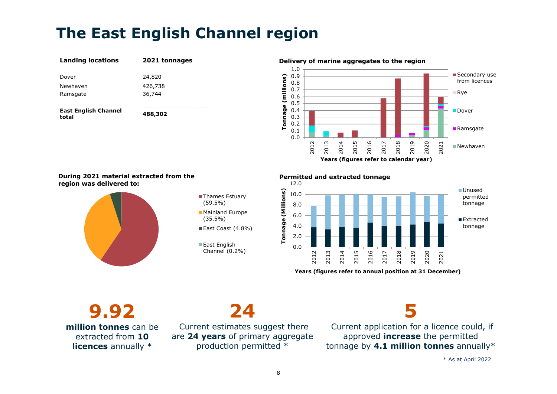# **The East English Channel region**

| <b>Landing locations</b>             | 2021 tonnages |
|--------------------------------------|---------------|
| Dover                                | 24,820        |
| Newhaven                             | 426,738       |
| Ramsgate                             | 36,744        |
|                                      |               |
| <b>East English Channel</b><br>total | 488,302       |

#### **Delivery of marine aggregates to the region**



#### **During 2021 material extracted from the region was delivered to:**



#### ■Thames Estuary (59.5%) **Mainland Europe**

- (35.5%) East Coast (4.8%)
- East English Channel (0.2%) 0.0

#### **Permitted and extracted tonnage**



**Years (figures refer to annual position at 31 December)**

**9.92 million tonnes** can be extracted from **10 licences** annually \*

# **24**

Current estimates suggest there are **24 years** of primary aggregate production permitted \*



Current application for a licence could, if approved **increase** the permitted tonnage by **4.1 million tonnes** annually\*

\* As at April 2022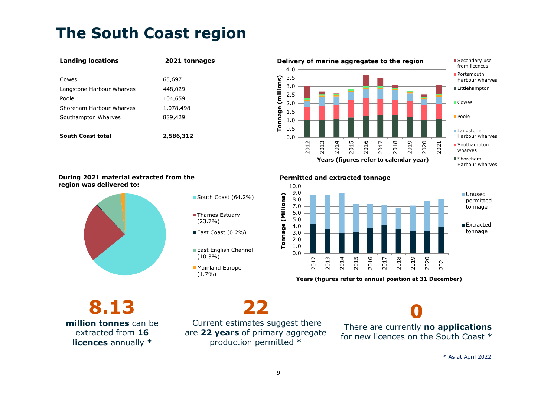# **The South Coast region**

### **Landing locations 2021 tonnages** Cowes 65,697 Langstone Harbour Wharves 448,029 Poole 104,659 Shoreham Harbour Wharves 1,078,498 Southampton Wharves 889,429 **South Coast total 2,586,312** 0.0



Harbour wharves

#### **During 2021 material extracted from the region was delivered to:**



#### South Coast (64.2%)

- ■Thames Estuary (23.7%)
- East Coast (0.2%)
- **East English Channel** (10.3%)
- **Mainland Europe** (1.7%)

#### **Permitted and extracted tonnage**



**Years (figures refer to annual position at 31 December)**

**8.13 million tonnes** can be extracted from **16 licences** annually \*

Current estimates suggest there are **22 years** of primary aggregate production permitted \*

**22**

**0** There are currently **no applications** for new licences on the South Coast \*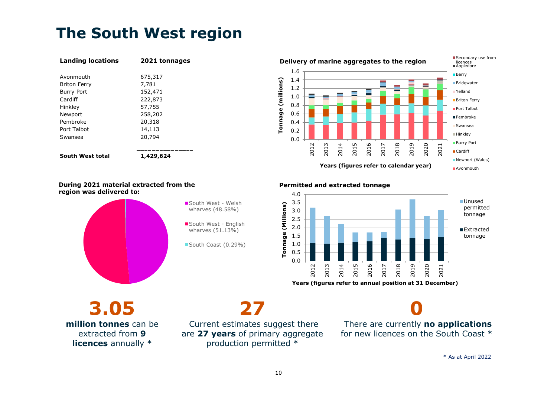# **The South West region**

| <b>Landing locations</b> | 2021 tonnages |
|--------------------------|---------------|
| Avonmouth                | 675,317       |
| <b>Briton Ferry</b>      | 7,781         |
| <b>Burry Port</b>        | 152,471       |
| Cardiff                  | 222,873       |
| Hinkley                  | 57,755        |
| Newport                  | 258,202       |
| Pembroke                 | 20,318        |
| Port Talbot              | 14,113        |
| Swansea                  | 20,794        |
|                          |               |
| South West total         | 1,429,624     |



#### **During 2021 material extracted from the region was delivered to:**



South West - Welsh wharves (48.58%)

South West - English wharves (51.13%)

South Coast (0.29%)

#### **Permitted and extracted tonnage**



**Years (figures refer to annual position at 31 December)**

**3.05 million tonnes** can be extracted from **9 licences** annually \*

**27** Current estimates suggest there

are **27 years** of primary aggregate production permitted \*

**0** There are currently **no applications** for new licences on the South Coast \*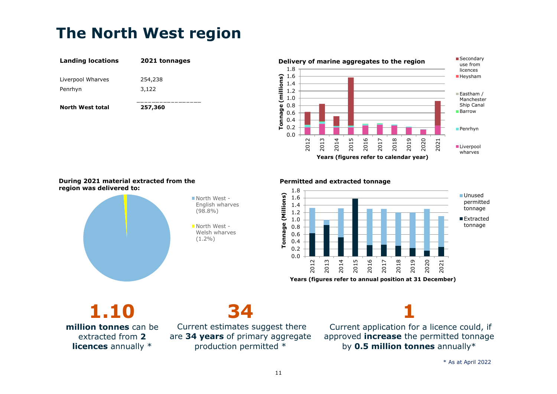# **The North West region**

| <b>Landing locations</b>     | 2021 tonnages    |
|------------------------------|------------------|
| Liverpool Wharves<br>Penrhyn | 254,238<br>3,122 |
| <b>North West total</b>      | 257,360          |



#### **During 2021 material extracted from the region was delivered to:**



North West - English wharves (98.8%)

■North West -Welsh wharves (1.2%)

#### **Permitted and extracted tonnage**



**Years (figures refer to annual position at 31 December)**

**1.10 million tonnes** can be extracted from **2 licences** annually \*



Current estimates suggest there are **34 years** of primary aggregate production permitted \*

**1**

Current application for a licence could, if approved **increase** the permitted tonnage by **0.5 million tonnes** annually\*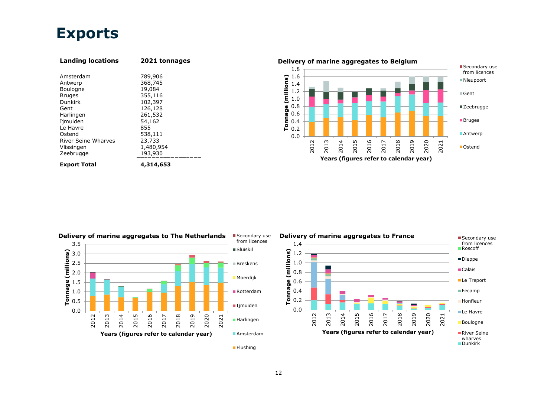### **Exports**

| <b>Landing locations</b>   | 2021 tonnages |
|----------------------------|---------------|
|                            |               |
| Amsterdam                  | 789,906       |
| Antwerp                    | 368,745       |
| Boulogne                   | 19,084        |
| <b>Bruges</b>              | 355,116       |
| <b>Dunkirk</b>             | 102,397       |
| Gent                       | 126,128       |
| Harlingen                  | 261,532       |
| Ijmuiden                   | 54,162        |
| Le Havre                   | 855           |
| Ostend                     | 538,111       |
| <b>River Seine Wharves</b> | 23,733        |
| Vlissingen                 | 1,480,954     |
| Zeebrugge                  | 193,930       |
| <b>Export Total</b>        | 4,314,653     |





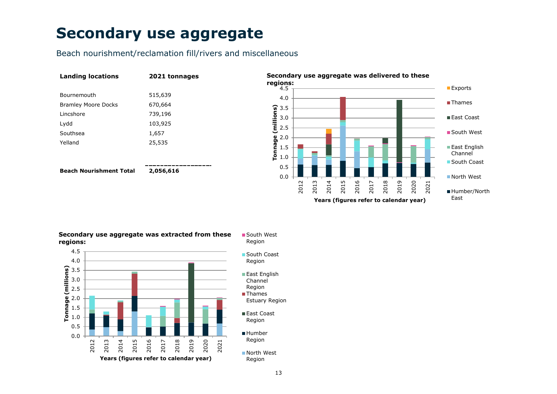## **Secondary use aggregate**

Beach nourishment/reclamation fill/rivers and miscellaneous

| <b>Landing locations</b>       | 2021 tonnages |
|--------------------------------|---------------|
| Bournemouth                    | 515,639       |
| <b>Bramley Moore Docks</b>     | 670,664       |
| Lincshore                      | 739,196       |
| Lydd                           | 103,925       |
| Southsea                       | 1,657         |
| Yelland                        | 25,535        |
|                                |               |
|                                |               |
| <b>Beach Nourishment Total</b> | 2,056,616     |



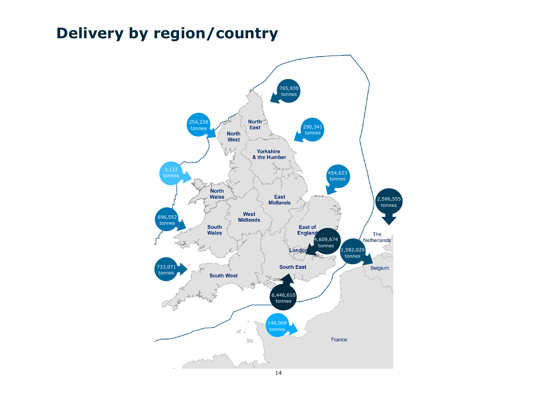# **Delivery by region/country**

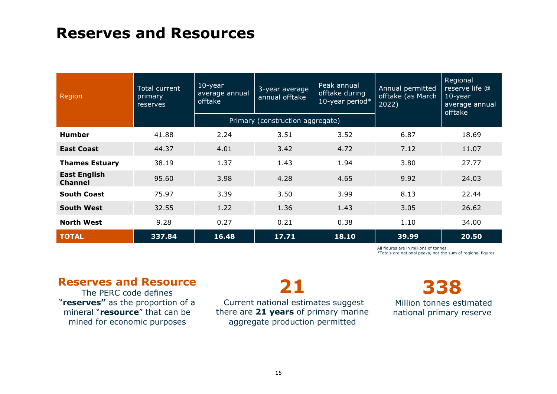### **Reserves and Resources**

| Region                                | Total current<br>primary<br>reserves | $10$ -year<br>average annual<br>offtake | 3-year average<br>annual offtake | Peak annual<br>offtake during<br>10-year period* | Annual permitted<br>offtake (as March<br>2022) | Regional<br>reserve life @<br>$10$ -year<br>average annual<br>offtake |
|---------------------------------------|--------------------------------------|-----------------------------------------|----------------------------------|--------------------------------------------------|------------------------------------------------|-----------------------------------------------------------------------|
|                                       |                                      |                                         | Primary (construction aggregate) |                                                  |                                                |                                                                       |
| <b>Humber</b>                         | 41.88                                | 2.24                                    | 3.51                             | 3.52                                             | 6.87                                           | 18.69                                                                 |
| <b>East Coast</b>                     | 44.37                                | 4.01                                    | 3.42                             | 4.72                                             | 7.12                                           | 11.07                                                                 |
| <b>Thames Estuary</b>                 | 38.19                                | 1.37                                    | 1.43                             | 1.94                                             | 3.80                                           | 27.77                                                                 |
| <b>East English</b><br><b>Channel</b> | 95.60                                | 3.98                                    | 4.28                             | 4.65                                             | 9.92                                           | 24.03                                                                 |
| <b>South Coast</b>                    | 75.97                                | 3.39                                    | 3.50                             | 3.99                                             | 8.13                                           | 22.44                                                                 |
| <b>South West</b>                     | 32.55                                | 1.22                                    | 1.36                             | 1.43                                             | 3.05                                           | 26.62                                                                 |
| <b>North West</b>                     | 9.28                                 | 0.27                                    | 0.21                             | 0.38                                             | 1.10                                           | 34.00                                                                 |
| <b>TOTAL</b>                          | 337.84                               | 16.48                                   | 17.71                            | 18.10                                            | 39.99                                          | 20.50                                                                 |

All figures are in millions of tonnes

\*Totals are national peaks, not the sum of regional figures

### **Reserves and Resource**

The PERC code defines "**reserves"** as the proportion of a mineral "**resource**" that can be mined for economic purposes

# **21**

Current national estimates suggest there are **21 years** of primary marine aggregate production permitted

# **338**

Million tonnes estimated national primary reserve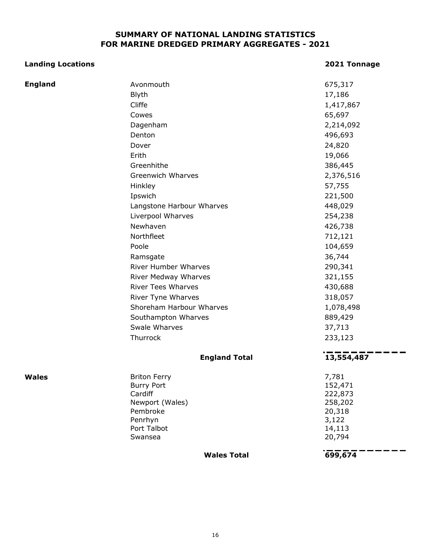### **SUMMARY OF NATIONAL LANDING STATISTICS FOR MARINE DREDGED PRIMARY AGGREGATES - 2021**

#### **Landing Locations 2021 Tonnage**

 $\sim$   $\sim$ 

| <b>England</b> | Avonmouth                   | 675,317         |
|----------------|-----------------------------|-----------------|
|                | <b>Blyth</b>                | 17,186          |
|                | Cliffe                      | 1,417,867       |
|                | Cowes                       | 65,697          |
|                | Dagenham                    | 2,214,092       |
|                | Denton                      | 496,693         |
|                | Dover                       | 24,820          |
|                | Erith                       | 19,066          |
|                | Greenhithe                  | 386,445         |
|                | <b>Greenwich Wharves</b>    | 2,376,516       |
|                | Hinkley                     | 57,755          |
|                | Ipswich                     | 221,500         |
|                | Langstone Harbour Wharves   | 448,029         |
|                | Liverpool Wharves           | 254,238         |
|                | Newhaven                    | 426,738         |
|                | Northfleet                  | 712,121         |
|                | Poole                       | 104,659         |
|                | Ramsgate                    | 36,744          |
|                | <b>River Humber Wharves</b> | 290,341         |
|                | River Medway Wharves        | 321,155         |
|                | <b>River Tees Wharves</b>   | 430,688         |
|                | River Tyne Wharves          | 318,057         |
|                | Shoreham Harbour Wharves    | 1,078,498       |
|                | Southampton Wharves         | 889,429         |
|                | Swale Wharves               | 37,713          |
|                | Thurrock                    | 233,123         |
|                |                             |                 |
|                | <b>England Total</b>        | 13,554,487      |
| <b>Wales</b>   | <b>Briton Ferry</b>         | 7,781           |
|                | <b>Burry Port</b>           | 152,471         |
|                | Cardiff                     | 222,873         |
|                | Newport (Wales)             | 258,202         |
|                | Pembroke<br>Penrhyn         | 20,318<br>3,122 |
|                | Port Talbot                 | 14,113          |
|                | Swansea                     | 20,794          |
|                | <b>Wales Total</b>          | 699,674         |
|                |                             |                 |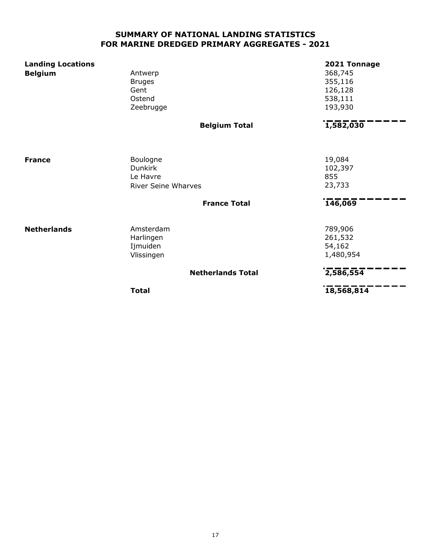### **SUMMARY OF NATIONAL LANDING STATISTICS FOR MARINE DREDGED PRIMARY AGGREGATES - 2021**

| <b>Landing Locations</b><br><b>Belgium</b> | Antwerp<br><b>Bruges</b><br>Gent<br>Ostend<br>Zeebrugge              |                          | 2021 Tonnage<br>368,745<br>355,116<br>126,128<br>538,111<br>193,930 |
|--------------------------------------------|----------------------------------------------------------------------|--------------------------|---------------------------------------------------------------------|
|                                            |                                                                      | <b>Belgium Total</b>     | 1,582,030                                                           |
| <b>France</b>                              | Boulogne<br><b>Dunkirk</b><br>Le Havre<br><b>River Seine Wharves</b> |                          | 19,084<br>102,397<br>855<br>23,733                                  |
|                                            |                                                                      | <b>France Total</b>      | 146,069                                                             |
| <b>Netherlands</b>                         | Amsterdam<br>Harlingen<br>Ijmuiden<br>Vlissingen                     |                          | 789,906<br>261,532<br>54,162<br>1,480,954                           |
|                                            |                                                                      | <b>Netherlands Total</b> | 2,586,554                                                           |
|                                            | <b>Total</b>                                                         |                          | 18,568,814                                                          |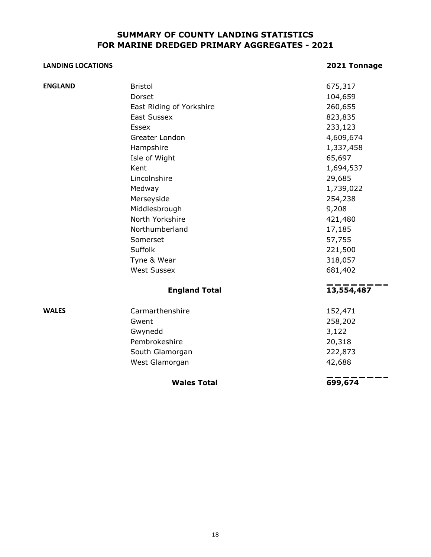#### **SUMMARY OF COUNTY LANDING STATISTICS FOR MARINE DREDGED PRIMARY AGGREGATES - 2021**

#### **LANDING LOCATIONS 2021 Tonnage**

|                | <b>Wales Total</b>       | 699,674    |
|----------------|--------------------------|------------|
|                | West Glamorgan           | 42,688     |
|                | South Glamorgan          | 222,873    |
|                | Pembrokeshire            | 20,318     |
|                | Gwynedd                  | 3,122      |
|                | Gwent                    | 258,202    |
| <b>WALES</b>   | Carmarthenshire          | 152,471    |
|                | <b>England Total</b>     | 13,554,487 |
|                | <b>West Sussex</b>       | 681,402    |
|                | Tyne & Wear              | 318,057    |
|                | Suffolk                  | 221,500    |
|                | Somerset                 | 57,755     |
|                | Northumberland           | 17,185     |
|                | North Yorkshire          | 421,480    |
|                | Middlesbrough            | 9,208      |
|                | Merseyside               | 254,238    |
|                | Medway                   | 1,739,022  |
|                | Lincolnshire             | 29,685     |
|                | Kent                     | 1,694,537  |
|                | Isle of Wight            | 65,697     |
|                | Hampshire                | 1,337,458  |
|                | Greater London           | 4,609,674  |
|                | Essex                    | 233,123    |
|                | <b>East Sussex</b>       | 823,835    |
|                | East Riding of Yorkshire | 260,655    |
|                | Dorset                   | 104,659    |
| <b>ENGLAND</b> | <b>Bristol</b>           | 675,317    |
|                |                          |            |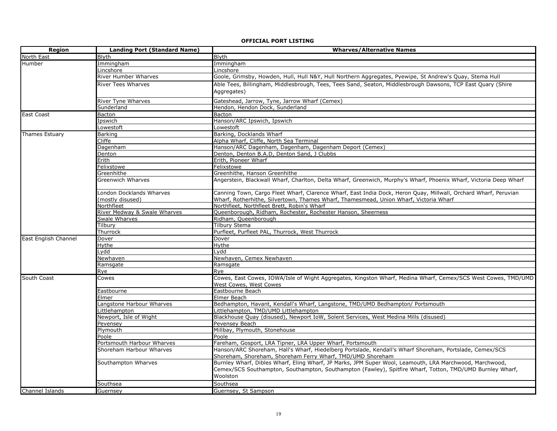### **OFFICIAL PORT LISTING**

| <b>Region</b>         | <b>Landing Port (Standard Name)</b> | <b>Wharves/Alternative Names</b>                                                                                                                   |  |
|-----------------------|-------------------------------------|----------------------------------------------------------------------------------------------------------------------------------------------------|--|
| <b>North East</b>     | <b>Blyth</b>                        | <b>Blyth</b>                                                                                                                                       |  |
| Humber                | Immingham                           | Immingham                                                                                                                                          |  |
|                       | Lincshore                           | Lincshore                                                                                                                                          |  |
|                       | <b>River Humber Wharves</b>         | Goole, Grimsby, Howden, Hull, Hull N&Y, Hull Northern Aggregates, Pyewipe, St Andrew's Quay, Stema Hull                                            |  |
|                       | <b>River Tees Wharves</b>           | Able Tees, Billingham, Middlesbrough, Tees, Tees Sand, Seaton, Middlesbrough Dawsons, TCP East Quary (Shire                                        |  |
|                       |                                     | Aggregates)                                                                                                                                        |  |
|                       |                                     |                                                                                                                                                    |  |
|                       | <b>River Tyne Wharves</b>           | Gateshead, Jarrow, Tyne, Jarrow Wharf (Cemex)                                                                                                      |  |
|                       | Sunderland                          | Hendon, Hendon Dock, Sunderland                                                                                                                    |  |
| <b>East Coast</b>     | <b>Bacton</b>                       | Bacton                                                                                                                                             |  |
|                       | Ipswich                             | Hanson/ARC Ipswich, Ipswich                                                                                                                        |  |
|                       | Lowestoft                           | Lowestoft                                                                                                                                          |  |
| <b>Thames Estuary</b> | <b>Barking</b>                      | Barking, Docklands Wharf                                                                                                                           |  |
|                       | Cliffe                              | Alpha Wharf, Cliffe, North Sea Terminal                                                                                                            |  |
|                       | Dagenham                            | Hanson/ARC Dagenham, Dagenham, Dagenham Deport (Cemex)                                                                                             |  |
|                       | Denton                              | Denton, Denton B.A.D, Denton Sand, J Clubbs                                                                                                        |  |
|                       | Erith                               | Erith, Pioneer Wharf                                                                                                                               |  |
|                       | Felixstowe                          | Felixstowe                                                                                                                                         |  |
|                       | Greenhithe                          | Greenhithe, Hanson Greenhithe<br>Angerstein, Blackwall Wharf, Charlton, Delta Wharf, Greenwich, Murphy's Wharf, Phoenix Wharf, Victoria Deep Wharf |  |
|                       | <b>Greenwich Wharves</b>            |                                                                                                                                                    |  |
|                       | London Docklands Wharves            | Canning Town, Cargo Fleet Wharf, Clarence Wharf, East India Dock, Heron Quay, Millwall, Orchard Wharf, Peruvian                                    |  |
|                       | (mostly disused)                    | Wharf, Rotherhithe, Silvertown, Thames Wharf, Thamesmead, Union Wharf, Victoria Wharf                                                              |  |
|                       | Northfleet                          | Northfleet, Northfleet Brett, Robin's Wharf                                                                                                        |  |
|                       | River Medway & Swale Wharves        | Queenborough, Ridham, Rochester, Rochester Hanson, Sheerness                                                                                       |  |
|                       | Swale Wharves                       | Ridham, Queenborough                                                                                                                               |  |
|                       | Tilbury                             | <b>Tilbury Stema</b>                                                                                                                               |  |
|                       | Thurrock                            | Purfleet, Purfleet PAL, Thurrock, West Thurrock                                                                                                    |  |
| East English Channel  | Dover                               | Dover                                                                                                                                              |  |
|                       | Hythe                               | Hythe                                                                                                                                              |  |
|                       | .ydd                                | Lydd                                                                                                                                               |  |
|                       | Vewhaven                            | Newhaven, Cemex Newhaven                                                                                                                           |  |
|                       | Ramsgate                            | Ramsgate                                                                                                                                           |  |
|                       | Rye                                 | Rye                                                                                                                                                |  |
| South Coast           | Cowes                               | Cowes, East Cowes, IOWA/Isle of Wight Aggregates, Kingston Wharf, Medina Wharf, Cemex/SCS West Cowes, TMD/UMD                                      |  |
|                       |                                     | <b>West Cowes, West Cowes</b>                                                                                                                      |  |
|                       | Eastbourne                          | Eastbourne Beach                                                                                                                                   |  |
|                       | Elmer                               | Elmer Beach                                                                                                                                        |  |
|                       | Langstone Harbour Wharves           | Bedhampton, Havant, Kendall's Wharf, Langstone, TMD/UMD Bedhampton/ Portsmouth                                                                     |  |
|                       | ittlehampton                        | Littlehampton, TMD/UMD Littlehampton                                                                                                               |  |
|                       | Newport, Isle of Wight              | Blackhouse Quay (disused), Newport IoW, Solent Services, West Medina Mills (disused)                                                               |  |
|                       | Pevensey                            | Pevensey Beach                                                                                                                                     |  |
|                       | Plymouth                            | Millbay, Plymouth, Stonehouse                                                                                                                      |  |
|                       | Poole                               | Poole                                                                                                                                              |  |
|                       | Portsmouth Harbour Wharves          | Fareham, Gosport, LRA Tipner, LRA Upper Wharf, Portsmouth                                                                                          |  |
|                       | Shoreham Harbour Wharves            | Hanson/ARC Shoreham, Hall's Wharf, Hiedelberg Portslade, Kendall's Wharf Shoreham, Portslade, Cemex/SCS                                            |  |
|                       |                                     | Shoreham, Shoreham, Shoreham Ferry Wharf, TMD/UMD Shoreham                                                                                         |  |
|                       | Southampton Wharves                 | Burnley Wharf, Dibles Wharf, Eling Wharf, JP Marks, JPM Super Wool, Leamouth, LRA Marchwood, Marchwood,                                            |  |
|                       |                                     | Cemex/SCS Southampton, Southampton, Southampton (Fawley), Spitfire Wharf, Totton, TMD/UMD Burnley Wharf,                                           |  |
|                       |                                     | Woolston                                                                                                                                           |  |
|                       | Southsea                            | Southsea                                                                                                                                           |  |
| Channel Islands       | Guernsey                            | Guernsey, St Sampson                                                                                                                               |  |